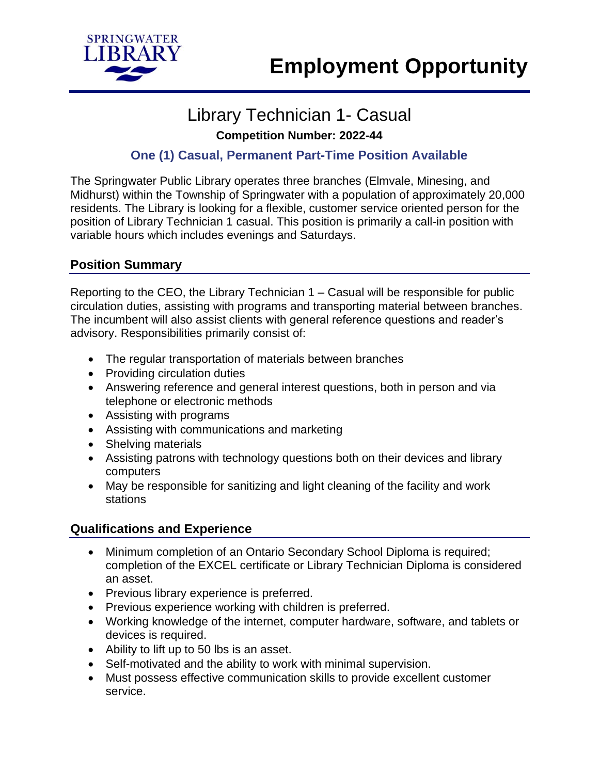

# Library Technician 1- Casual

**Competition Number: 2022-44**

# **One (1) Casual, Permanent Part-Time Position Available**

The Springwater Public Library operates three branches (Elmvale, Minesing, and Midhurst) within the Township of Springwater with a population of approximately 20,000 residents. The Library is looking for a flexible, customer service oriented person for the position of Library Technician 1 casual. This position is primarily a call-in position with variable hours which includes evenings and Saturdays.

# **Position Summary**

Reporting to the CEO, the Library Technician 1 – Casual will be responsible for public circulation duties, assisting with programs and transporting material between branches. The incumbent will also assist clients with general reference questions and reader's advisory. Responsibilities primarily consist of:

- The regular transportation of materials between branches
- Providing circulation duties
- Answering reference and general interest questions, both in person and via telephone or electronic methods
- Assisting with programs
- Assisting with communications and marketing
- Shelving materials
- Assisting patrons with technology questions both on their devices and library computers
- May be responsible for sanitizing and light cleaning of the facility and work stations

# **Qualifications and Experience**

- Minimum completion of an Ontario Secondary School Diploma is required; completion of the EXCEL certificate or Library Technician Diploma is considered an asset.
- Previous library experience is preferred.
- Previous experience working with children is preferred.
- Working knowledge of the internet, computer hardware, software, and tablets or devices is required.
- Ability to lift up to 50 lbs is an asset.
- Self-motivated and the ability to work with minimal supervision.
- Must possess effective communication skills to provide excellent customer service.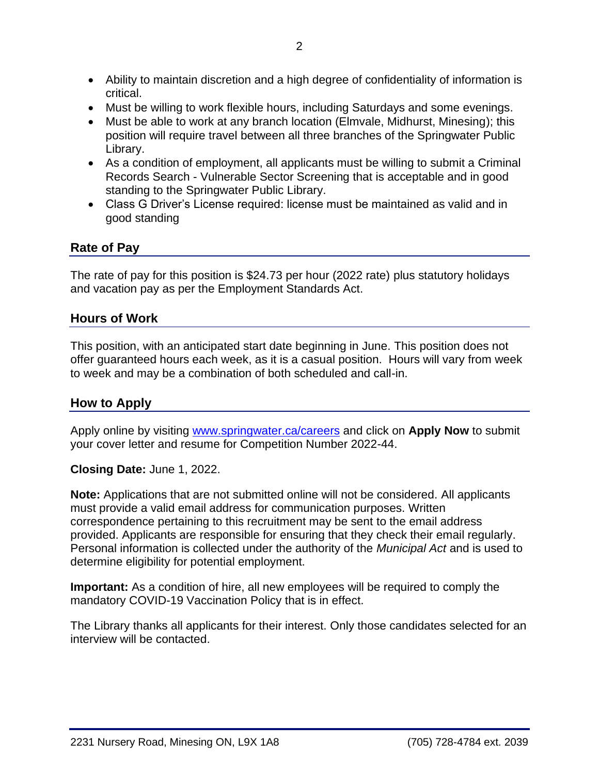- Ability to maintain discretion and a high degree of confidentiality of information is critical.
- Must be willing to work flexible hours, including Saturdays and some evenings.
- Must be able to work at any branch location (Elmvale, Midhurst, Minesing); this position will require travel between all three branches of the Springwater Public Library.
- As a condition of employment, all applicants must be willing to submit a Criminal Records Search - Vulnerable Sector Screening that is acceptable and in good standing to the Springwater Public Library.
- Class G Driver's License required: license must be maintained as valid and in good standing

#### **Rate of Pay**

The rate of pay for this position is \$24.73 per hour (2022 rate) plus statutory holidays and vacation pay as per the Employment Standards Act.

#### **Hours of Work**

This position, with an anticipated start date beginning in June. This position does not offer guaranteed hours each week, as it is a casual position. Hours will vary from week to week and may be a combination of both scheduled and call-in.

## **How to Apply**

Apply online by visiting [www.springwater.ca/careers](http://www.springwater.ca/careers) and click on **Apply Now** to submit your cover letter and resume for Competition Number 2022-44.

#### **Closing Date:** June 1, 2022.

**Note:** Applications that are not submitted online will not be considered. All applicants must provide a valid email address for communication purposes. Written correspondence pertaining to this recruitment may be sent to the email address provided. Applicants are responsible for ensuring that they check their email regularly. Personal information is collected under the authority of the *Municipal Act* and is used to determine eligibility for potential employment.

**Important:** As a condition of hire, all new employees will be required to comply the mandatory COVID-19 Vaccination Policy that is in effect.

The Library thanks all applicants for their interest. Only those candidates selected for an interview will be contacted.